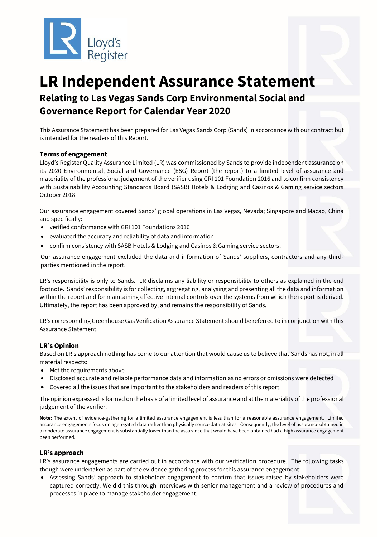

# **LR Independent Assurance Statement Relating to Las Vegas Sands Corp Environmental Social and Governance Report for Calendar Year 2020**

This Assurance Statement has been prepared for Las Vegas Sands Corp (Sands) in accordance with our contract but is intended for the readers of this Report.

## **Terms of engagement**

Lloyd's Register Quality Assurance Limited (LR) was commissioned by Sands to provide independent assurance on its 2020 Environmental, Social and Governance (ESG) Report (the report) to a limited level of assurance and materiality of the professional judgement of the verifier using GRI 101 Foundation 2016 and to confirm consistency with Sustainability Accounting Standards Board (SASB) Hotels & Lodging and Casinos & Gaming service sectors October 2018.

Our assurance engagement covered Sands' global operations in Las Vegas, Nevada; Singapore and Macao, China and specifically:

- verified conformance with GRI 101 Foundations 2016
- evaluated the accuracy and reliability of data and information
- confirm consistency with SASB Hotels & Lodging and Casinos & Gaming service sectors.

Our assurance engagement excluded the data and information of Sands' suppliers, contractors and any thirdparties mentioned in the report.

LR's responsibility is only to Sands. LR disclaims any liability or responsibility to others as explained in the end footnote. Sands' responsibility is for collecting, aggregating, analysing and presenting all the data and information within the report and for maintaining effective internal controls over the systems from which the report is derived. Ultimately, the report has been approved by, and remains the responsibility of Sands.

LR's corresponding Greenhouse Gas Verification Assurance Statement should be referred to in conjunction with this Assurance Statement.

## **LR's Opinion**

Based on LR's approach nothing has come to our attention that would cause us to believe that Sands has not, in all material respects:

- Met the requirements above
- Disclosed accurate and reliable performance data and information as no errors or omissions were detected
- Covered all the issues that are important to the stakeholders and readers of this report.

The opinion expressed is formed on the basis of a limited level of assurance and at the materiality of the professional judgement of the verifier.

**Note:** The extent of evidence-gathering for a limited assurance engagement is less than for a reasonable assurance engagement. Limited assurance engagements focus on aggregated data rather than physically source data at sites. Consequently, the level of assurance obtained in a moderate assurance engagement is substantially lower than the assurance that would have been obtained had a high assurance engagement been performed.

## **LR's approach**

LR's assurance engagements are carried out in accordance with our verification procedure. The following tasks though were undertaken as part of the evidence gathering process for this assurance engagement:

• Assessing Sands' approach to stakeholder engagement to confirm that issues raised by stakeholders were captured correctly. We did this through interviews with senior management and a review of procedures and processes in place to manage stakeholder engagement.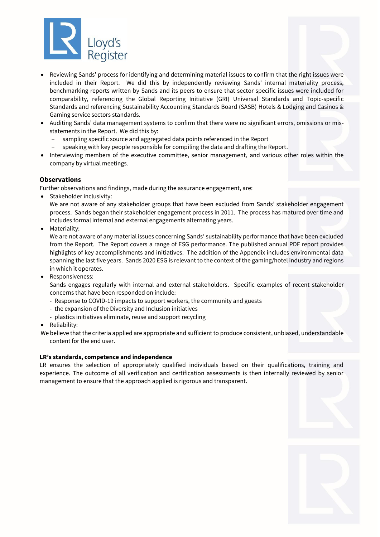

- Reviewing Sands' process for identifying and determining material issues to confirm that the right issues were included in their Report. We did this by independently reviewing Sands' internal materiality process, benchmarking reports written by Sands and its peers to ensure that sector specific issues were included for comparability, referencing the Global Reporting Initiative (GRI) Universal Standards and Topic-specific Standards and referencing Sustainability Accounting Standards Board (SASB) Hotels & Lodging and Casinos & Gaming service sectors standards.
- Auditing Sands' data management systems to confirm that there were no significant errors, omissions or misstatements in the Report. We did this by:
	- sampling specific source and aggregated data points referenced in the Report
	- speaking with key people responsible for compiling the data and drafting the Report.
- Interviewing members of the executive committee, senior management, and various other roles within the company by virtual meetings.

## **Observations**

Further observations and findings, made during the assurance engagement, are:

• Stakeholder inclusivity:

We are not aware of any stakeholder groups that have been excluded from Sands' stakeholder engagement process. Sands began their stakeholder engagement process in 2011. The process has matured over time and includes formal internal and external engagements alternating years.

• Materiality:

We are not aware of any material issues concerning Sands' sustainability performance that have been excluded from the Report. The Report covers a range of ESG performance. The published annual PDF report provides highlights of key accomplishments and initiatives. The addition of the Appendix includes environmental data spanning the last five years. Sands 2020 ESG is relevant to the context of the gaming/hotel industry and regions in which it operates.

• Responsiveness:

Sands engages regularly with internal and external stakeholders. Specific examples of recent stakeholder concerns that have been responded on include:

- Response to COVID-19 impacts to support workers, the community and guests
- the expansion of the Diversity and Inclusion initiatives
- plastics initiatives eliminate, reuse and support recycling
- Reliability:

We believe that the criteria applied are appropriate and sufficient to produce consistent, unbiased, understandable content for the end user.

## **LR's standards, competence and independence**

LR ensures the selection of appropriately qualified individuals based on their qualifications, training and experience. The outcome of all verification and certification assessments is then internally reviewed by senior management to ensure that the approach applied is rigorous and transparent.